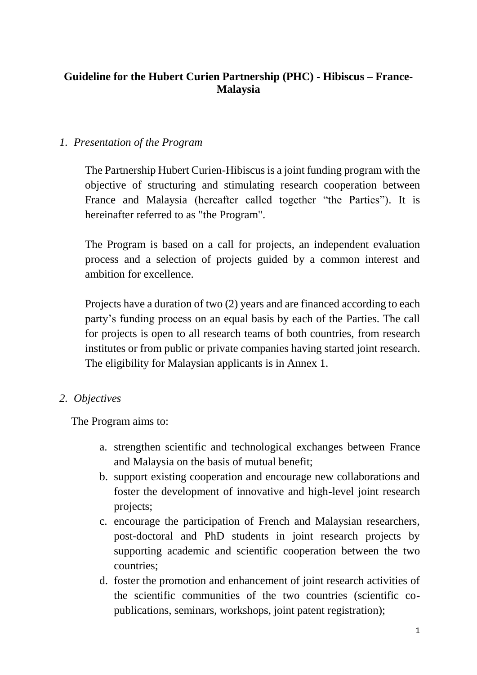# **Guideline for the Hubert Curien Partnership (PHC) - Hibiscus – France-Malaysia**

## *1. Presentation of the Program*

The Partnership Hubert Curien-Hibiscus is a joint funding program with the objective of structuring and stimulating research cooperation between France and Malaysia (hereafter called together "the Parties"). It is hereinafter referred to as "the Program".

The Program is based on a call for projects, an independent evaluation process and a selection of projects guided by a common interest and ambition for excellence.

Projects have a duration of two (2) years and are financed according to each party's funding process on an equal basis by each of the Parties. The call for projects is open to all research teams of both countries, from research institutes or from public or private companies having started joint research. The eligibility for Malaysian applicants is in Annex 1.

## *2. Objectives*

The Program aims to:

- a. strengthen scientific and technological exchanges between France and Malaysia on the basis of mutual benefit;
- b. support existing cooperation and encourage new collaborations and foster the development of innovative and high-level joint research projects;
- c. encourage the participation of French and Malaysian researchers, post-doctoral and PhD students in joint research projects by supporting academic and scientific cooperation between the two countries;
- d. foster the promotion and enhancement of joint research activities of the scientific communities of the two countries (scientific copublications, seminars, workshops, joint patent registration);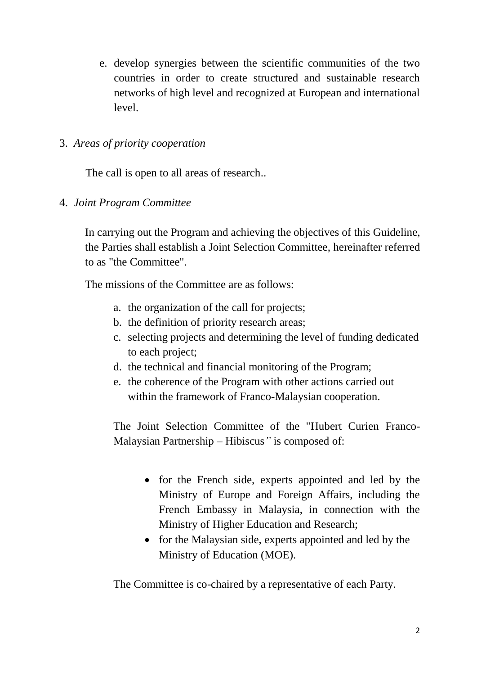e. develop synergies between the scientific communities of the two countries in order to create structured and sustainable research networks of high level and recognized at European and international level.

## 3. *Areas of priority cooperation*

The call is open to all areas of research..

4. *Joint Program Committee*

In carrying out the Program and achieving the objectives of this Guideline, the Parties shall establish a Joint Selection Committee, hereinafter referred to as "the Committee".

The missions of the Committee are as follows:

- a. the organization of the call for projects;
- b. the definition of priority research areas;
- c. selecting projects and determining the level of funding dedicated to each project;
- d. the technical and financial monitoring of the Program;
- e. the coherence of the Program with other actions carried out within the framework of Franco-Malaysian cooperation.

The Joint Selection Committee of the "Hubert Curien Franco-Malaysian Partnership – Hibiscus*"* is composed of:

- for the French side, experts appointed and led by the Ministry of Europe and Foreign Affairs, including the French Embassy in Malaysia, in connection with the Ministry of Higher Education and Research;
- for the Malaysian side, experts appointed and led by the Ministry of Education (MOE).

The Committee is co-chaired by a representative of each Party.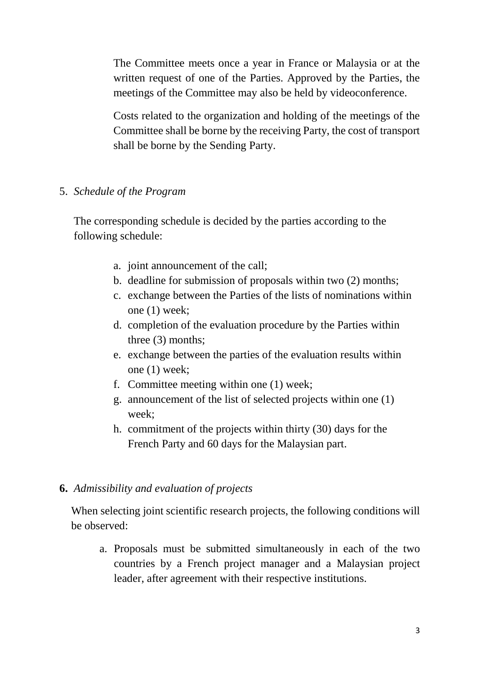The Committee meets once a year in France or Malaysia or at the written request of one of the Parties. Approved by the Parties, the meetings of the Committee may also be held by videoconference.

Costs related to the organization and holding of the meetings of the Committee shall be borne by the receiving Party, the cost of transport shall be borne by the Sending Party.

## 5. *Schedule of the Program*

The corresponding schedule is decided by the parties according to the following schedule:

- a. joint announcement of the call;
- b. deadline for submission of proposals within two (2) months;
- c. exchange between the Parties of the lists of nominations within one (1) week;
- d. completion of the evaluation procedure by the Parties within three (3) months;
- e. exchange between the parties of the evaluation results within one (1) week;
- f. Committee meeting within one (1) week;
- g. announcement of the list of selected projects within one (1) week;
- h. commitment of the projects within thirty (30) days for the French Party and 60 days for the Malaysian part.

### **6.** *Admissibility and evaluation of projects*

When selecting joint scientific research projects, the following conditions will be observed:

a. Proposals must be submitted simultaneously in each of the two countries by a French project manager and a Malaysian project leader, after agreement with their respective institutions.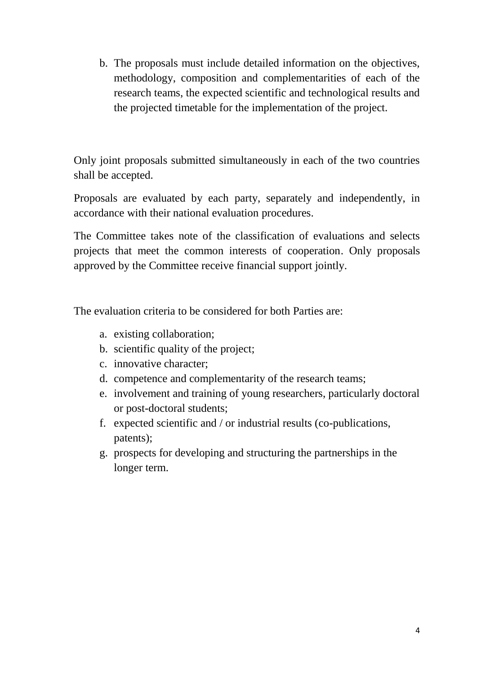b. The proposals must include detailed information on the objectives, methodology, composition and complementarities of each of the research teams, the expected scientific and technological results and the projected timetable for the implementation of the project.

Only joint proposals submitted simultaneously in each of the two countries shall be accepted.

Proposals are evaluated by each party, separately and independently, in accordance with their national evaluation procedures.

The Committee takes note of the classification of evaluations and selects projects that meet the common interests of cooperation. Only proposals approved by the Committee receive financial support jointly.

The evaluation criteria to be considered for both Parties are:

- a. existing collaboration;
- b. scientific quality of the project;
- c. innovative character;
- d. competence and complementarity of the research teams;
- e. involvement and training of young researchers, particularly doctoral or post-doctoral students;
- f. expected scientific and / or industrial results (co-publications, patents);
- g. prospects for developing and structuring the partnerships in the longer term.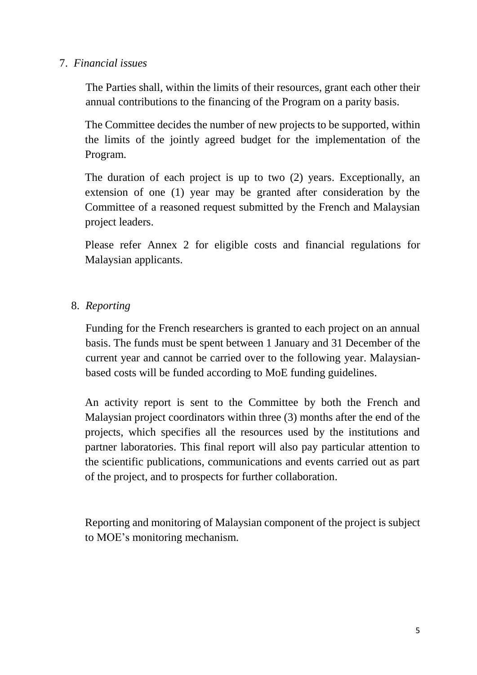### 7. *Financial issues*

The Parties shall, within the limits of their resources, grant each other their annual contributions to the financing of the Program on a parity basis.

The Committee decides the number of new projects to be supported, within the limits of the jointly agreed budget for the implementation of the Program.

The duration of each project is up to two (2) years. Exceptionally, an extension of one (1) year may be granted after consideration by the Committee of a reasoned request submitted by the French and Malaysian project leaders.

Please refer Annex 2 for eligible costs and financial regulations for Malaysian applicants.

## 8. *Reporting*

Funding for the French researchers is granted to each project on an annual basis. The funds must be spent between 1 January and 31 December of the current year and cannot be carried over to the following year. Malaysianbased costs will be funded according to MoE funding guidelines.

An activity report is sent to the Committee by both the French and Malaysian project coordinators within three (3) months after the end of the projects, which specifies all the resources used by the institutions and partner laboratories. This final report will also pay particular attention to the scientific publications, communications and events carried out as part of the project, and to prospects for further collaboration.

Reporting and monitoring of Malaysian component of the project is subject to MOE's monitoring mechanism.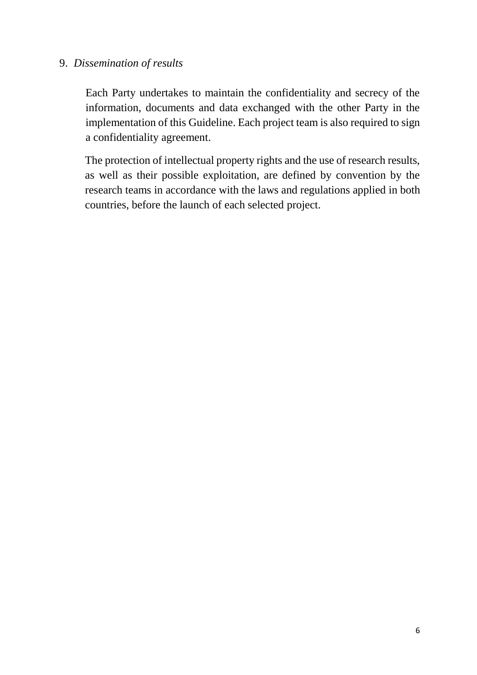### 9. *Dissemination of results*

Each Party undertakes to maintain the confidentiality and secrecy of the information, documents and data exchanged with the other Party in the implementation of this Guideline. Each project team is also required to sign a confidentiality agreement.

The protection of intellectual property rights and the use of research results, as well as their possible exploitation, are defined by convention by the research teams in accordance with the laws and regulations applied in both countries, before the launch of each selected project.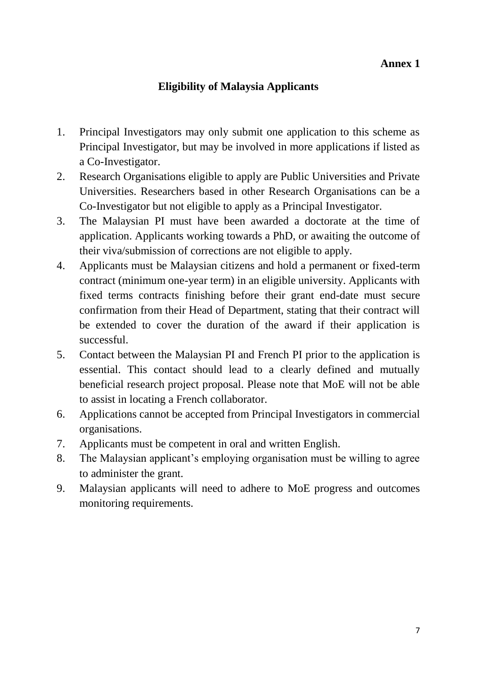# **Eligibility of Malaysia Applicants**

- 1. Principal Investigators may only submit one application to this scheme as Principal Investigator, but may be involved in more applications if listed as a Co-Investigator.
- 2. Research Organisations eligible to apply are Public Universities and Private Universities. Researchers based in other Research Organisations can be a Co-Investigator but not eligible to apply as a Principal Investigator.
- 3. The Malaysian PI must have been awarded a doctorate at the time of application. Applicants working towards a PhD, or awaiting the outcome of their viva/submission of corrections are not eligible to apply.
- 4. Applicants must be Malaysian citizens and hold a permanent or fixed-term contract (minimum one-year term) in an eligible university. Applicants with fixed terms contracts finishing before their grant end-date must secure confirmation from their Head of Department, stating that their contract will be extended to cover the duration of the award if their application is successful.
- 5. Contact between the Malaysian PI and French PI prior to the application is essential. This contact should lead to a clearly defined and mutually beneficial research project proposal. Please note that MoE will not be able to assist in locating a French collaborator.
- 6. Applications cannot be accepted from Principal Investigators in commercial organisations.
- 7. Applicants must be competent in oral and written English.
- 8. The Malaysian applicant's employing organisation must be willing to agree to administer the grant.
- 9. Malaysian applicants will need to adhere to MoE progress and outcomes monitoring requirements.